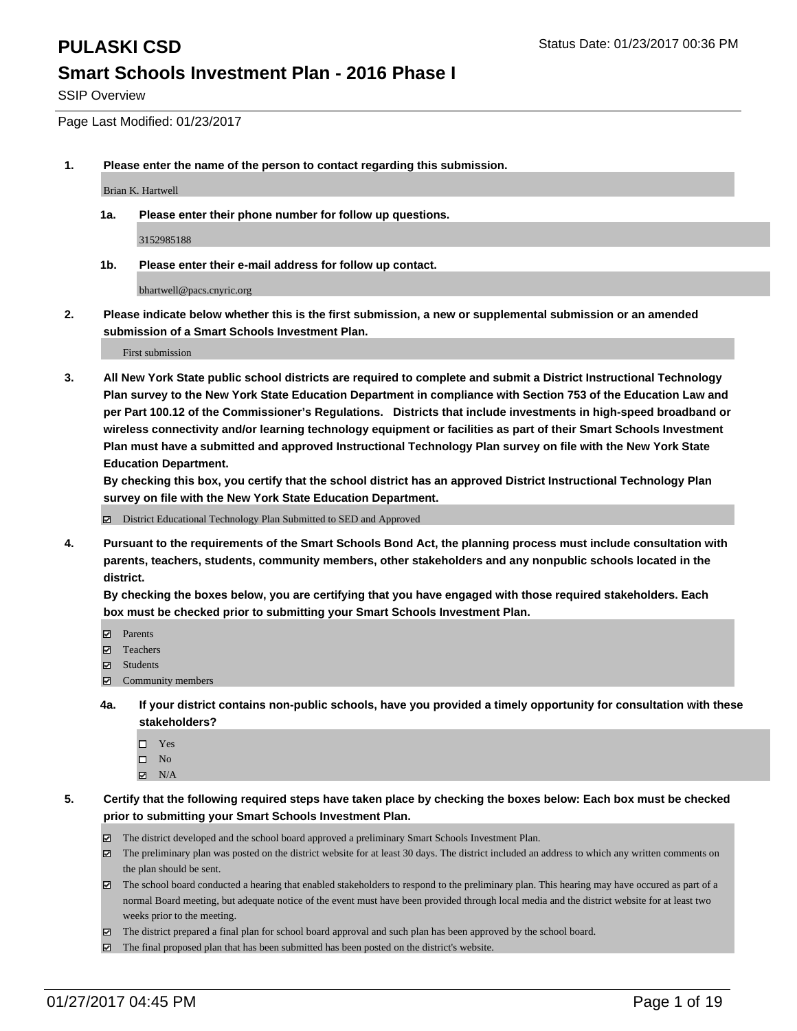SSIP Overview

Page Last Modified: 01/23/2017

**1. Please enter the name of the person to contact regarding this submission.**

Brian K. Hartwell

**1a. Please enter their phone number for follow up questions.**

3152985188

**1b. Please enter their e-mail address for follow up contact.**

bhartwell@pacs.cnyric.org

**2. Please indicate below whether this is the first submission, a new or supplemental submission or an amended submission of a Smart Schools Investment Plan.**

First submission

**3. All New York State public school districts are required to complete and submit a District Instructional Technology Plan survey to the New York State Education Department in compliance with Section 753 of the Education Law and per Part 100.12 of the Commissioner's Regulations. Districts that include investments in high-speed broadband or wireless connectivity and/or learning technology equipment or facilities as part of their Smart Schools Investment Plan must have a submitted and approved Instructional Technology Plan survey on file with the New York State Education Department.** 

**By checking this box, you certify that the school district has an approved District Instructional Technology Plan survey on file with the New York State Education Department.**

District Educational Technology Plan Submitted to SED and Approved

**4. Pursuant to the requirements of the Smart Schools Bond Act, the planning process must include consultation with parents, teachers, students, community members, other stakeholders and any nonpublic schools located in the district.** 

**By checking the boxes below, you are certifying that you have engaged with those required stakeholders. Each box must be checked prior to submitting your Smart Schools Investment Plan.**

- **Parents**
- Teachers
- **冈** Students
- Community members
- **4a. If your district contains non-public schools, have you provided a timely opportunity for consultation with these stakeholders?**
	- □ Yes
	- $\square$  No
	- $\boxtimes$  N/A
- **5. Certify that the following required steps have taken place by checking the boxes below: Each box must be checked prior to submitting your Smart Schools Investment Plan.**
	- The district developed and the school board approved a preliminary Smart Schools Investment Plan.
	- The preliminary plan was posted on the district website for at least 30 days. The district included an address to which any written comments on the plan should be sent.
	- The school board conducted a hearing that enabled stakeholders to respond to the preliminary plan. This hearing may have occured as part of a normal Board meeting, but adequate notice of the event must have been provided through local media and the district website for at least two weeks prior to the meeting.
	- The district prepared a final plan for school board approval and such plan has been approved by the school board.
	- $\boxtimes$  The final proposed plan that has been submitted has been posted on the district's website.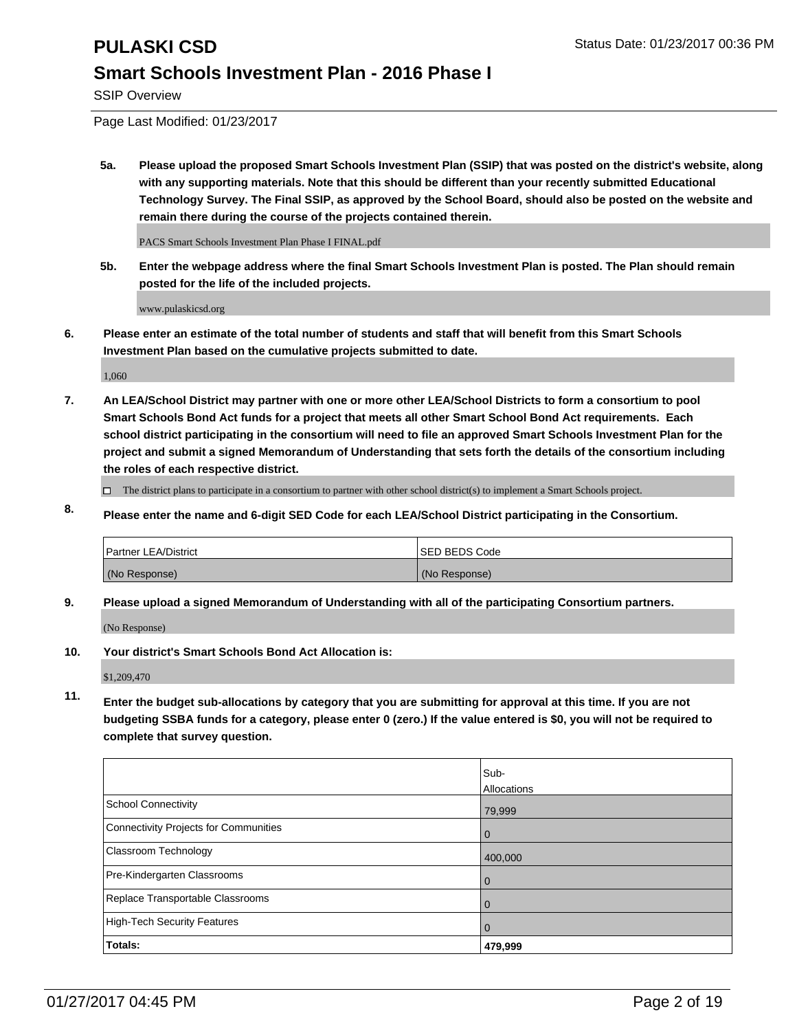SSIP Overview

Page Last Modified: 01/23/2017

**5a. Please upload the proposed Smart Schools Investment Plan (SSIP) that was posted on the district's website, along with any supporting materials. Note that this should be different than your recently submitted Educational Technology Survey. The Final SSIP, as approved by the School Board, should also be posted on the website and remain there during the course of the projects contained therein.**

PACS Smart Schools Investment Plan Phase I FINAL.pdf

**5b. Enter the webpage address where the final Smart Schools Investment Plan is posted. The Plan should remain posted for the life of the included projects.**

www.pulaskicsd.org

**6. Please enter an estimate of the total number of students and staff that will benefit from this Smart Schools Investment Plan based on the cumulative projects submitted to date.**

1,060

- **7. An LEA/School District may partner with one or more other LEA/School Districts to form a consortium to pool Smart Schools Bond Act funds for a project that meets all other Smart School Bond Act requirements. Each school district participating in the consortium will need to file an approved Smart Schools Investment Plan for the project and submit a signed Memorandum of Understanding that sets forth the details of the consortium including the roles of each respective district.**
	- $\Box$  The district plans to participate in a consortium to partner with other school district(s) to implement a Smart Schools project.
- **8. Please enter the name and 6-digit SED Code for each LEA/School District participating in the Consortium.**

| <b>Partner LEA/District</b> | <b>ISED BEDS Code</b> |
|-----------------------------|-----------------------|
| (No Response)               | (No Response)         |

**9. Please upload a signed Memorandum of Understanding with all of the participating Consortium partners.**

(No Response)

**10. Your district's Smart Schools Bond Act Allocation is:**

\$1,209,470

**11. Enter the budget sub-allocations by category that you are submitting for approval at this time. If you are not budgeting SSBA funds for a category, please enter 0 (zero.) If the value entered is \$0, you will not be required to complete that survey question.**

|                                       | Sub-        |
|---------------------------------------|-------------|
|                                       | Allocations |
| <b>School Connectivity</b>            | 79,999      |
| Connectivity Projects for Communities | 0           |
| <b>Classroom Technology</b>           | 400,000     |
| Pre-Kindergarten Classrooms           | 0           |
| Replace Transportable Classrooms      |             |
| High-Tech Security Features           |             |
| Totals:                               | 479,999     |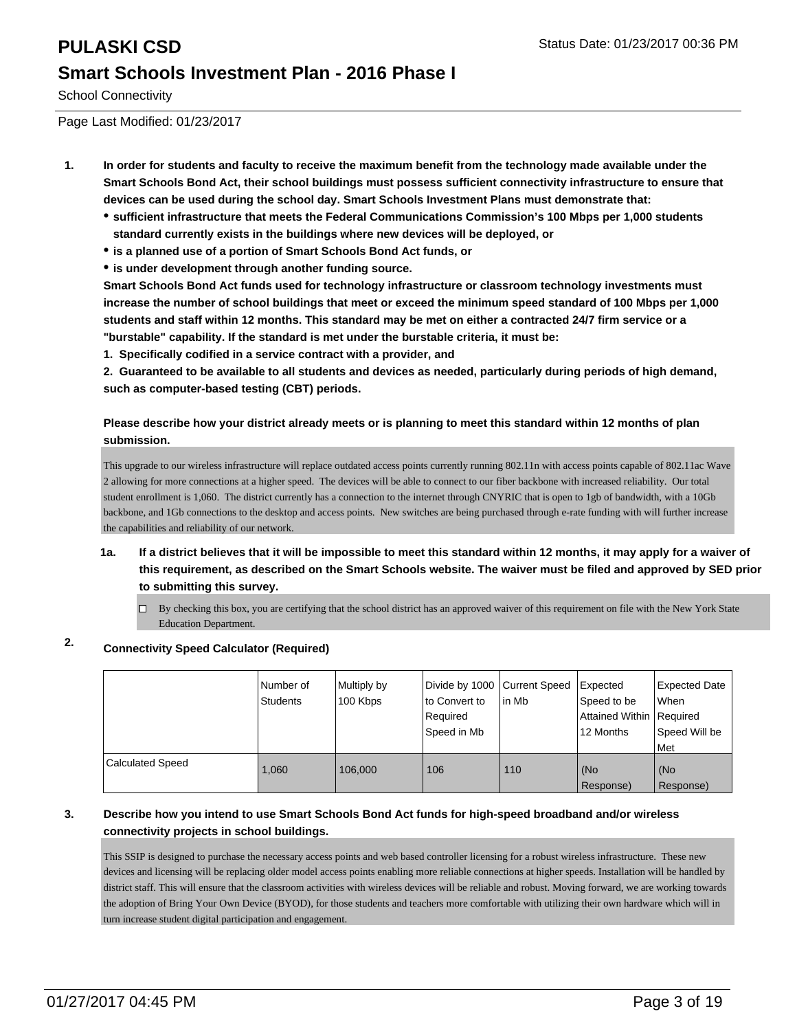School Connectivity

Page Last Modified: 01/23/2017

- **1. In order for students and faculty to receive the maximum benefit from the technology made available under the Smart Schools Bond Act, their school buildings must possess sufficient connectivity infrastructure to ensure that devices can be used during the school day. Smart Schools Investment Plans must demonstrate that:**
	- **sufficient infrastructure that meets the Federal Communications Commission's 100 Mbps per 1,000 students standard currently exists in the buildings where new devices will be deployed, or**
	- **is a planned use of a portion of Smart Schools Bond Act funds, or**
	- **is under development through another funding source.**

**Smart Schools Bond Act funds used for technology infrastructure or classroom technology investments must increase the number of school buildings that meet or exceed the minimum speed standard of 100 Mbps per 1,000 students and staff within 12 months. This standard may be met on either a contracted 24/7 firm service or a "burstable" capability. If the standard is met under the burstable criteria, it must be:**

**1. Specifically codified in a service contract with a provider, and**

**2. Guaranteed to be available to all students and devices as needed, particularly during periods of high demand, such as computer-based testing (CBT) periods.**

#### **Please describe how your district already meets or is planning to meet this standard within 12 months of plan submission.**

This upgrade to our wireless infrastructure will replace outdated access points currently running 802.11n with access points capable of 802.11ac Wave 2 allowing for more connections at a higher speed. The devices will be able to connect to our fiber backbone with increased reliability. Our total student enrollment is 1,060. The district currently has a connection to the internet through CNYRIC that is open to 1gb of bandwidth, with a 10Gb backbone, and 1Gb connections to the desktop and access points. New switches are being purchased through e-rate funding with will further increase the capabilities and reliability of our network.

- **1a. If a district believes that it will be impossible to meet this standard within 12 months, it may apply for a waiver of this requirement, as described on the Smart Schools website. The waiver must be filed and approved by SED prior to submitting this survey.**
	- By checking this box, you are certifying that the school district has an approved waiver of this requirement on file with the New York State Education Department.

### **2. Connectivity Speed Calculator (Required)**

|                         | Number of<br>Students | Multiply by<br>100 Kbps | Divide by 1000 Current Speed<br>to Convert to<br>Required<br>Speed in Mb | lin Mb | Expected<br>Speed to be<br>Attained Within   Required<br>12 Months | Expected Date<br>When<br>Speed Will be<br>l Met |
|-------------------------|-----------------------|-------------------------|--------------------------------------------------------------------------|--------|--------------------------------------------------------------------|-------------------------------------------------|
| <b>Calculated Speed</b> | 1.060                 | 106.000                 | 106                                                                      | 110    | (No<br>Response)                                                   | (No<br>Response)                                |

#### **3. Describe how you intend to use Smart Schools Bond Act funds for high-speed broadband and/or wireless connectivity projects in school buildings.**

This SSIP is designed to purchase the necessary access points and web based controller licensing for a robust wireless infrastructure. These new devices and licensing will be replacing older model access points enabling more reliable connections at higher speeds. Installation will be handled by district staff. This will ensure that the classroom activities with wireless devices will be reliable and robust. Moving forward, we are working towards the adoption of Bring Your Own Device (BYOD), for those students and teachers more comfortable with utilizing their own hardware which will in turn increase student digital participation and engagement.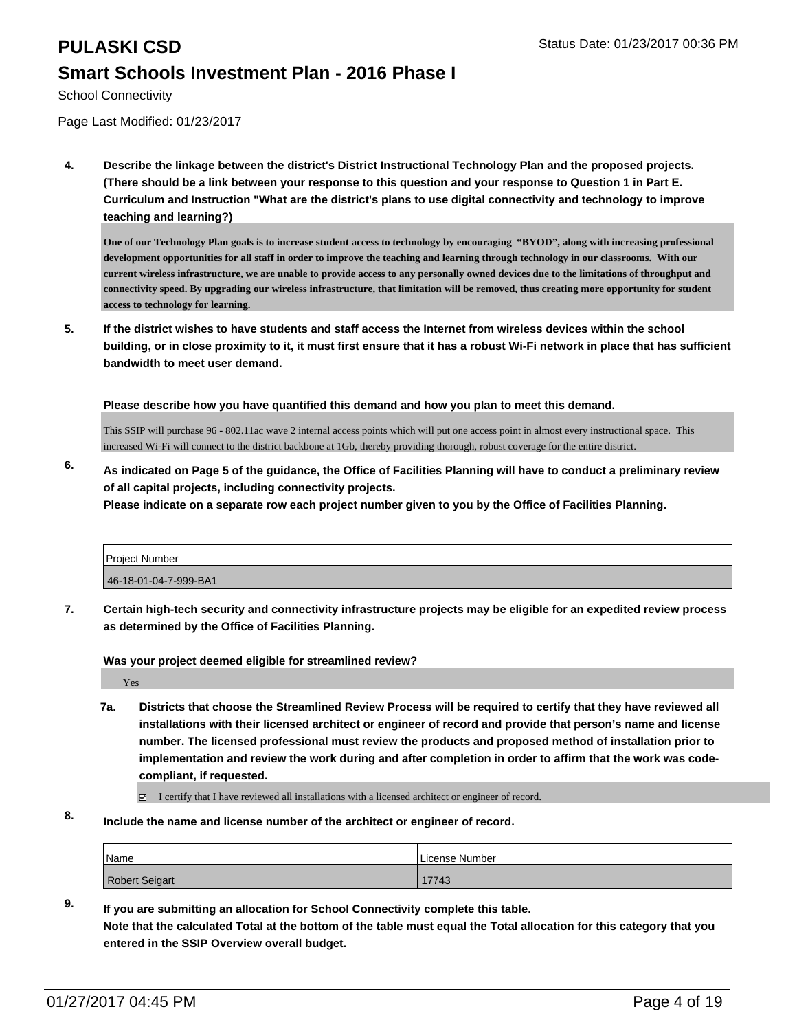## **PULASKI CSD PULASKI CSD Status Date: 01/23/2017 00:36 PM Smart Schools Investment Plan - 2016 Phase I**

School Connectivity

Page Last Modified: 01/23/2017

**4. Describe the linkage between the district's District Instructional Technology Plan and the proposed projects. (There should be a link between your response to this question and your response to Question 1 in Part E. Curriculum and Instruction "What are the district's plans to use digital connectivity and technology to improve teaching and learning?)**

**One of our Technology Plan goals is to increase student access to technology by encouraging "BYOD", along with increasing professional development opportunities for all staff in order to improve the teaching and learning through technology in our classrooms. With our current wireless infrastructure, we are unable to provide access to any personally owned devices due to the limitations of throughput and connectivity speed. By upgrading our wireless infrastructure, that limitation will be removed, thus creating more opportunity for student access to technology for learning.**

**5. If the district wishes to have students and staff access the Internet from wireless devices within the school building, or in close proximity to it, it must first ensure that it has a robust Wi-Fi network in place that has sufficient bandwidth to meet user demand.**

**Please describe how you have quantified this demand and how you plan to meet this demand.**

This SSIP will purchase 96 - 802.11ac wave 2 internal access points which will put one access point in almost every instructional space. This increased Wi-Fi will connect to the district backbone at 1Gb, thereby providing thorough, robust coverage for the entire district.

**6. As indicated on Page 5 of the guidance, the Office of Facilities Planning will have to conduct a preliminary review of all capital projects, including connectivity projects. Please indicate on a separate row each project number given to you by the Office of Facilities Planning.**

| <b>Project Number</b> |  |
|-----------------------|--|
| 46-18-01-04-7-999-BA1 |  |

**7. Certain high-tech security and connectivity infrastructure projects may be eligible for an expedited review process as determined by the Office of Facilities Planning.**

**Was your project deemed eligible for streamlined review?**

Yes

**7a. Districts that choose the Streamlined Review Process will be required to certify that they have reviewed all installations with their licensed architect or engineer of record and provide that person's name and license number. The licensed professional must review the products and proposed method of installation prior to implementation and review the work during and after completion in order to affirm that the work was codecompliant, if requested.**

I certify that I have reviewed all installations with a licensed architect or engineer of record.

**8. Include the name and license number of the architect or engineer of record.**

| 'Name                 | License Number |
|-----------------------|----------------|
| <b>Robert Seigart</b> | 17743          |

**9. If you are submitting an allocation for School Connectivity complete this table. Note that the calculated Total at the bottom of the table must equal the Total allocation for this category that you entered in the SSIP Overview overall budget.**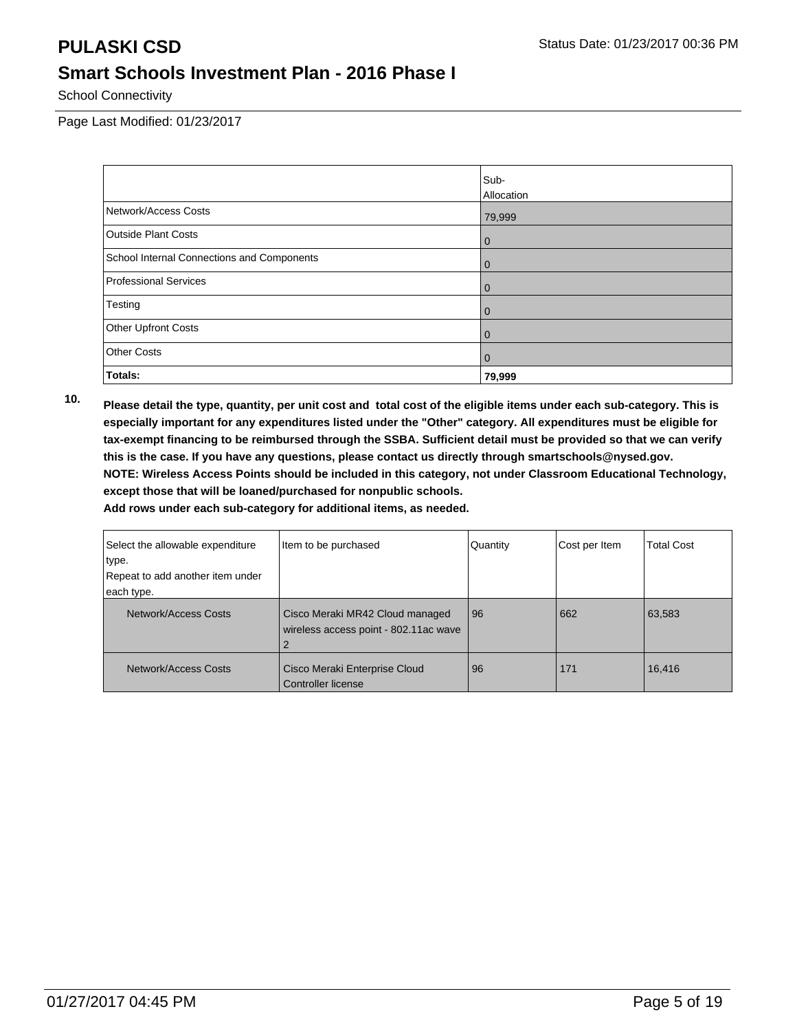School Connectivity

Page Last Modified: 01/23/2017

|                                            | Sub-              |
|--------------------------------------------|-------------------|
|                                            | <b>Allocation</b> |
| Network/Access Costs                       | 79,999            |
| <b>Outside Plant Costs</b>                 | $\overline{0}$    |
| School Internal Connections and Components | $\overline{0}$    |
| Professional Services                      | $\mathbf 0$       |
| Testing                                    | $\overline{0}$    |
| <b>Other Upfront Costs</b>                 | $\overline{0}$    |
| <b>Other Costs</b>                         | $\overline{0}$    |
| Totals:                                    | 79,999            |

**10. Please detail the type, quantity, per unit cost and total cost of the eligible items under each sub-category. This is especially important for any expenditures listed under the "Other" category. All expenditures must be eligible for tax-exempt financing to be reimbursed through the SSBA. Sufficient detail must be provided so that we can verify this is the case. If you have any questions, please contact us directly through smartschools@nysed.gov. NOTE: Wireless Access Points should be included in this category, not under Classroom Educational Technology, except those that will be loaned/purchased for nonpublic schools.**

| Select the allowable expenditure | Item to be purchased                                                     | Quantity | Cost per Item | <b>Total Cost</b> |
|----------------------------------|--------------------------------------------------------------------------|----------|---------------|-------------------|
| type.                            |                                                                          |          |               |                   |
| Repeat to add another item under |                                                                          |          |               |                   |
| each type.                       |                                                                          |          |               |                   |
| Network/Access Costs             | Cisco Meraki MR42 Cloud managed<br>wireless access point - 802.11ac wave | 96       | 662           | 63,583            |
| Network/Access Costs             | Cisco Meraki Enterprise Cloud<br>Controller license                      | 96       | 171           | 16,416            |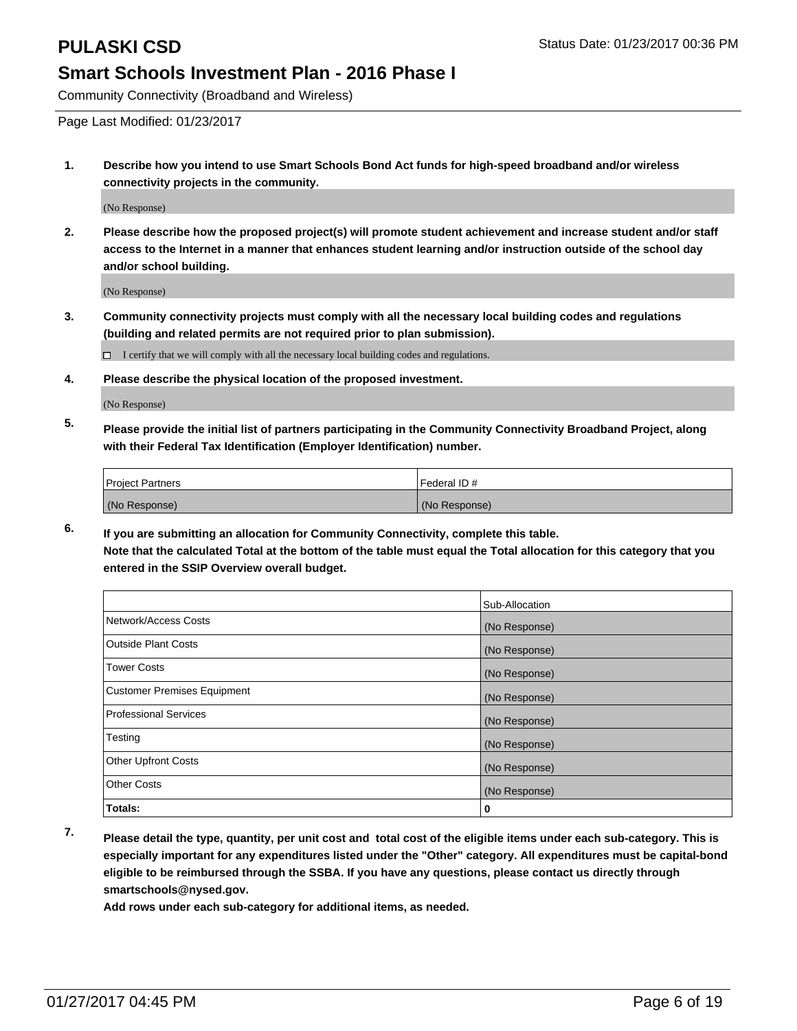Community Connectivity (Broadband and Wireless)

Page Last Modified: 01/23/2017

**1. Describe how you intend to use Smart Schools Bond Act funds for high-speed broadband and/or wireless connectivity projects in the community.**

(No Response)

**2. Please describe how the proposed project(s) will promote student achievement and increase student and/or staff access to the Internet in a manner that enhances student learning and/or instruction outside of the school day and/or school building.**

(No Response)

**3. Community connectivity projects must comply with all the necessary local building codes and regulations (building and related permits are not required prior to plan submission).**

 $\Box$  I certify that we will comply with all the necessary local building codes and regulations.

**4. Please describe the physical location of the proposed investment.**

(No Response)

**5. Please provide the initial list of partners participating in the Community Connectivity Broadband Project, along with their Federal Tax Identification (Employer Identification) number.**

| <b>Project Partners</b> | Federal ID#   |
|-------------------------|---------------|
| (No Response)           | (No Response) |

**6. If you are submitting an allocation for Community Connectivity, complete this table. Note that the calculated Total at the bottom of the table must equal the Total allocation for this category that you entered in the SSIP Overview overall budget.**

|                                    | Sub-Allocation |
|------------------------------------|----------------|
| Network/Access Costs               | (No Response)  |
| <b>Outside Plant Costs</b>         | (No Response)  |
| <b>Tower Costs</b>                 | (No Response)  |
| <b>Customer Premises Equipment</b> | (No Response)  |
| <b>Professional Services</b>       | (No Response)  |
| Testing                            | (No Response)  |
| Other Upfront Costs                | (No Response)  |
| <b>Other Costs</b>                 | (No Response)  |
| Totals:                            | 0              |

**7. Please detail the type, quantity, per unit cost and total cost of the eligible items under each sub-category. This is especially important for any expenditures listed under the "Other" category. All expenditures must be capital-bond eligible to be reimbursed through the SSBA. If you have any questions, please contact us directly through smartschools@nysed.gov.**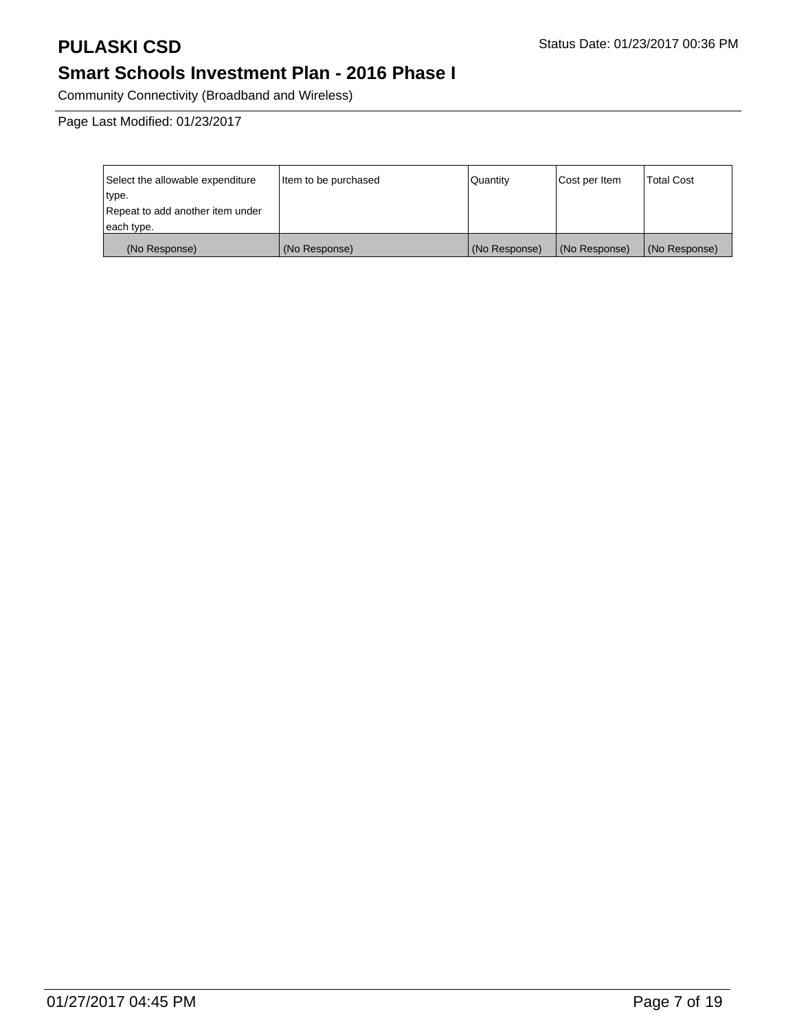Community Connectivity (Broadband and Wireless)

| Select the allowable expenditure | Item to be purchased | Quantity      | Cost per Item | <b>Total Cost</b> |
|----------------------------------|----------------------|---------------|---------------|-------------------|
| type.                            |                      |               |               |                   |
| Repeat to add another item under |                      |               |               |                   |
| each type.                       |                      |               |               |                   |
| (No Response)                    | (No Response)        | (No Response) | (No Response) | (No Response)     |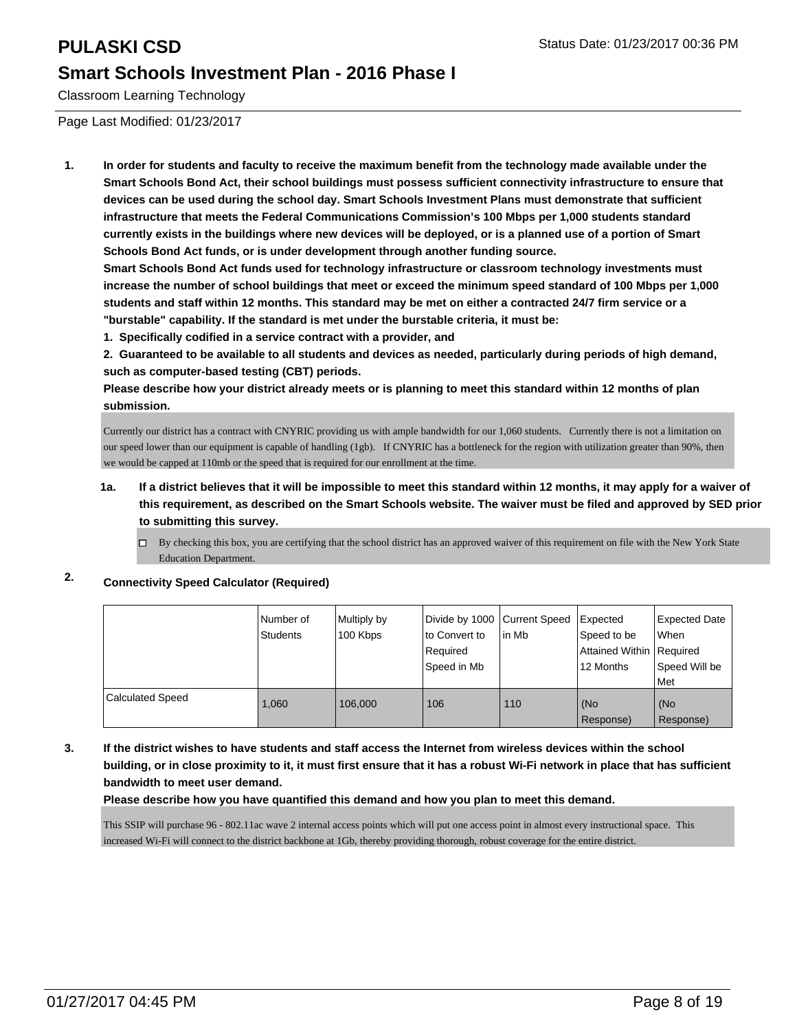Classroom Learning Technology

Page Last Modified: 01/23/2017

**1. In order for students and faculty to receive the maximum benefit from the technology made available under the Smart Schools Bond Act, their school buildings must possess sufficient connectivity infrastructure to ensure that devices can be used during the school day. Smart Schools Investment Plans must demonstrate that sufficient infrastructure that meets the Federal Communications Commission's 100 Mbps per 1,000 students standard currently exists in the buildings where new devices will be deployed, or is a planned use of a portion of Smart Schools Bond Act funds, or is under development through another funding source.**

**Smart Schools Bond Act funds used for technology infrastructure or classroom technology investments must increase the number of school buildings that meet or exceed the minimum speed standard of 100 Mbps per 1,000 students and staff within 12 months. This standard may be met on either a contracted 24/7 firm service or a "burstable" capability. If the standard is met under the burstable criteria, it must be:**

**1. Specifically codified in a service contract with a provider, and**

**2. Guaranteed to be available to all students and devices as needed, particularly during periods of high demand, such as computer-based testing (CBT) periods.**

**Please describe how your district already meets or is planning to meet this standard within 12 months of plan submission.**

Currently our district has a contract with CNYRIC providing us with ample bandwidth for our 1,060 students. Currently there is not a limitation on our speed lower than our equipment is capable of handling (1gb). If CNYRIC has a bottleneck for the region with utilization greater than 90%, then we would be capped at 110mb or the speed that is required for our enrollment at the time.

- **1a. If a district believes that it will be impossible to meet this standard within 12 months, it may apply for a waiver of this requirement, as described on the Smart Schools website. The waiver must be filed and approved by SED prior to submitting this survey.**
	- $\Box$  By checking this box, you are certifying that the school district has an approved waiver of this requirement on file with the New York State Education Department.

#### **2. Connectivity Speed Calculator (Required)**

|                         | Number of<br>Students | Multiply by<br>100 Kbps | Divide by 1000 Current Speed<br>lto Convert to<br>l Reauired<br>l Speed in Mb | in Mb | Expected<br>Speed to be<br>Attained Within   Required<br>12 Months | <b>Expected Date</b><br><b>When</b><br>Speed Will be<br>l Met |
|-------------------------|-----------------------|-------------------------|-------------------------------------------------------------------------------|-------|--------------------------------------------------------------------|---------------------------------------------------------------|
| <b>Calculated Speed</b> | 1.060                 | 106.000                 | 106                                                                           | 110   | (No<br>Response)                                                   | (No<br>Response)                                              |

**3. If the district wishes to have students and staff access the Internet from wireless devices within the school building, or in close proximity to it, it must first ensure that it has a robust Wi-Fi network in place that has sufficient bandwidth to meet user demand.**

**Please describe how you have quantified this demand and how you plan to meet this demand.**

This SSIP will purchase 96 - 802.11ac wave 2 internal access points which will put one access point in almost every instructional space. This increased Wi-Fi will connect to the district backbone at 1Gb, thereby providing thorough, robust coverage for the entire district.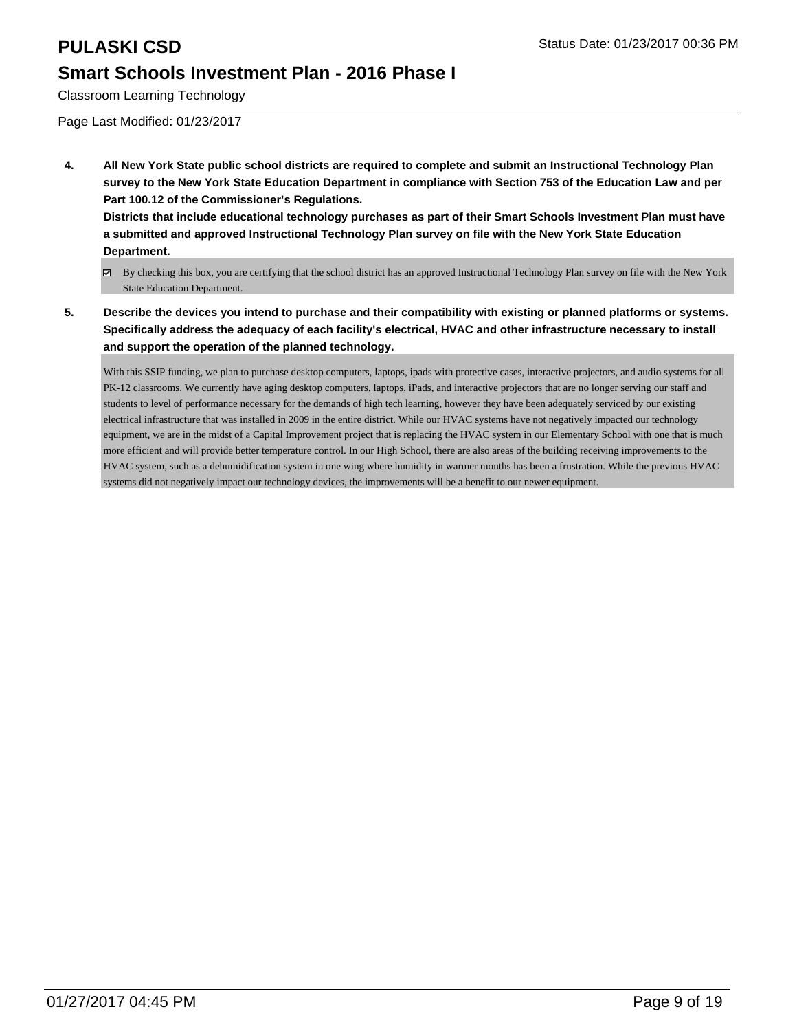Classroom Learning Technology

Page Last Modified: 01/23/2017

**4. All New York State public school districts are required to complete and submit an Instructional Technology Plan survey to the New York State Education Department in compliance with Section 753 of the Education Law and per Part 100.12 of the Commissioner's Regulations.**

**Districts that include educational technology purchases as part of their Smart Schools Investment Plan must have a submitted and approved Instructional Technology Plan survey on file with the New York State Education Department.**

- By checking this box, you are certifying that the school district has an approved Instructional Technology Plan survey on file with the New York State Education Department.
- **5. Describe the devices you intend to purchase and their compatibility with existing or planned platforms or systems. Specifically address the adequacy of each facility's electrical, HVAC and other infrastructure necessary to install and support the operation of the planned technology.**

With this SSIP funding, we plan to purchase desktop computers, laptops, ipads with protective cases, interactive projectors, and audio systems for all PK-12 classrooms. We currently have aging desktop computers, laptops, iPads, and interactive projectors that are no longer serving our staff and students to level of performance necessary for the demands of high tech learning, however they have been adequately serviced by our existing electrical infrastructure that was installed in 2009 in the entire district. While our HVAC systems have not negatively impacted our technology equipment, we are in the midst of a Capital Improvement project that is replacing the HVAC system in our Elementary School with one that is much more efficient and will provide better temperature control. In our High School, there are also areas of the building receiving improvements to the HVAC system, such as a dehumidification system in one wing where humidity in warmer months has been a frustration. While the previous HVAC systems did not negatively impact our technology devices, the improvements will be a benefit to our newer equipment.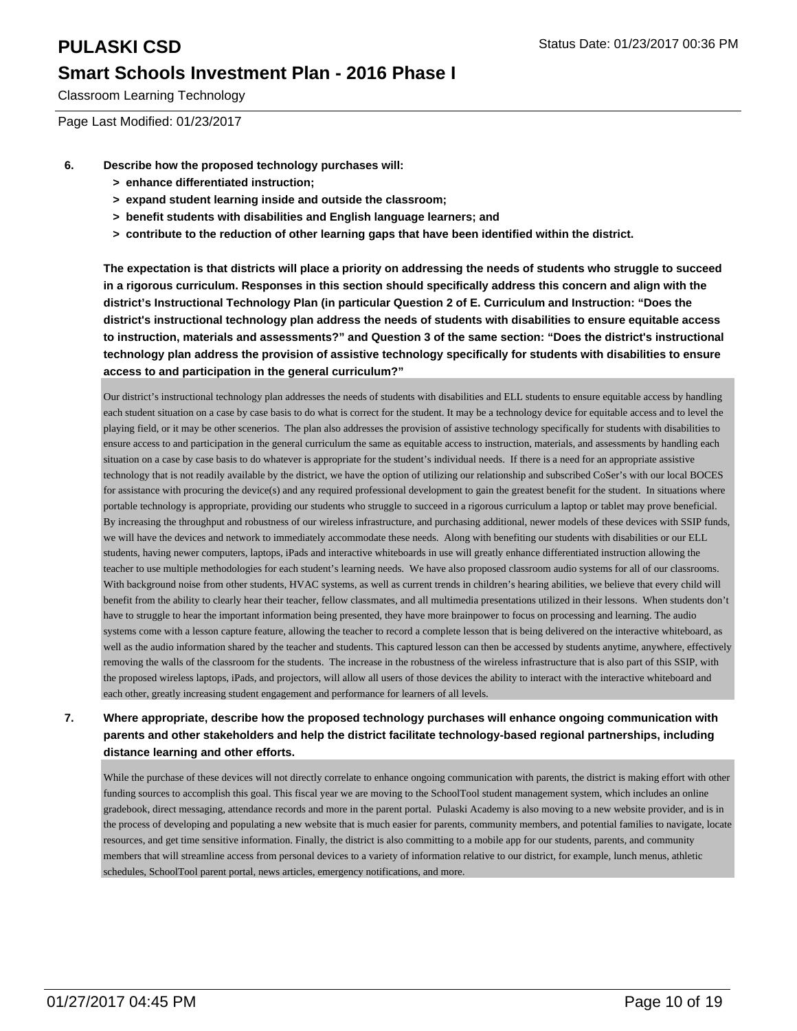Classroom Learning Technology

Page Last Modified: 01/23/2017

- **6. Describe how the proposed technology purchases will:**
	- **> enhance differentiated instruction;**
	- **> expand student learning inside and outside the classroom;**
	- **> benefit students with disabilities and English language learners; and**
	- **> contribute to the reduction of other learning gaps that have been identified within the district.**

**The expectation is that districts will place a priority on addressing the needs of students who struggle to succeed in a rigorous curriculum. Responses in this section should specifically address this concern and align with the district's Instructional Technology Plan (in particular Question 2 of E. Curriculum and Instruction: "Does the district's instructional technology plan address the needs of students with disabilities to ensure equitable access to instruction, materials and assessments?" and Question 3 of the same section: "Does the district's instructional technology plan address the provision of assistive technology specifically for students with disabilities to ensure access to and participation in the general curriculum?"**

Our district's instructional technology plan addresses the needs of students with disabilities and ELL students to ensure equitable access by handling each student situation on a case by case basis to do what is correct for the student. It may be a technology device for equitable access and to level the playing field, or it may be other scenerios. The plan also addresses the provision of assistive technology specifically for students with disabilities to ensure access to and participation in the general curriculum the same as equitable access to instruction, materials, and assessments by handling each situation on a case by case basis to do whatever is appropriate for the student's individual needs. If there is a need for an appropriate assistive technology that is not readily available by the district, we have the option of utilizing our relationship and subscribed CoSer's with our local BOCES for assistance with procuring the device(s) and any required professional development to gain the greatest benefit for the student. In situations where portable technology is appropriate, providing our students who struggle to succeed in a rigorous curriculum a laptop or tablet may prove beneficial. By increasing the throughput and robustness of our wireless infrastructure, and purchasing additional, newer models of these devices with SSIP funds, we will have the devices and network to immediately accommodate these needs. Along with benefiting our students with disabilities or our ELL students, having newer computers, laptops, iPads and interactive whiteboards in use will greatly enhance differentiated instruction allowing the teacher to use multiple methodologies for each student's learning needs. We have also proposed classroom audio systems for all of our classrooms. With background noise from other students, HVAC systems, as well as current trends in children's hearing abilities, we believe that every child will benefit from the ability to clearly hear their teacher, fellow classmates, and all multimedia presentations utilized in their lessons. When students don't have to struggle to hear the important information being presented, they have more brainpower to focus on processing and learning. The audio systems come with a lesson capture feature, allowing the teacher to record a complete lesson that is being delivered on the interactive whiteboard, as well as the audio information shared by the teacher and students. This captured lesson can then be accessed by students anytime, anywhere, effectively removing the walls of the classroom for the students. The increase in the robustness of the wireless infrastructure that is also part of this SSIP, with the proposed wireless laptops, iPads, and projectors, will allow all users of those devices the ability to interact with the interactive whiteboard and each other, greatly increasing student engagement and performance for learners of all levels.

#### **7. Where appropriate, describe how the proposed technology purchases will enhance ongoing communication with parents and other stakeholders and help the district facilitate technology-based regional partnerships, including distance learning and other efforts.**

While the purchase of these devices will not directly correlate to enhance ongoing communication with parents, the district is making effort with other funding sources to accomplish this goal. This fiscal year we are moving to the SchoolTool student management system, which includes an online gradebook, direct messaging, attendance records and more in the parent portal. Pulaski Academy is also moving to a new website provider, and is in the process of developing and populating a new website that is much easier for parents, community members, and potential families to navigate, locate resources, and get time sensitive information. Finally, the district is also committing to a mobile app for our students, parents, and community members that will streamline access from personal devices to a variety of information relative to our district, for example, lunch menus, athletic schedules, SchoolTool parent portal, news articles, emergency notifications, and more.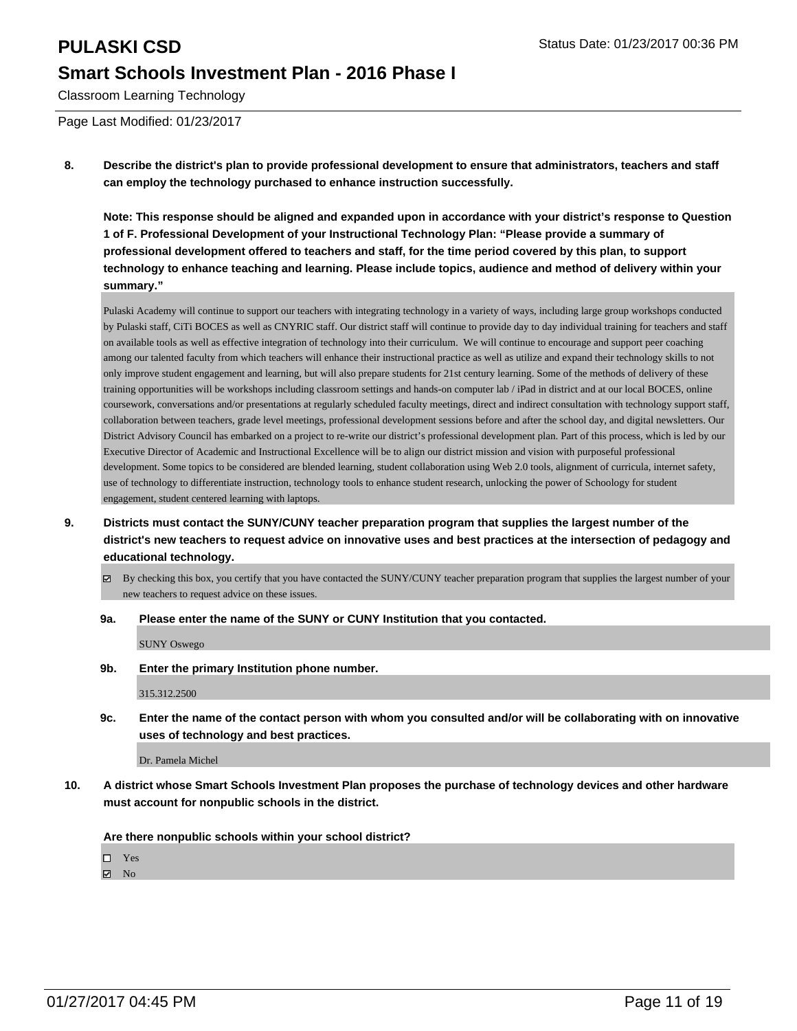## **PULASKI CSD PULASKI CSD Status Date: 01/23/2017 00:36 PM Smart Schools Investment Plan - 2016 Phase I**

Classroom Learning Technology

Page Last Modified: 01/23/2017

**8. Describe the district's plan to provide professional development to ensure that administrators, teachers and staff can employ the technology purchased to enhance instruction successfully.**

**Note: This response should be aligned and expanded upon in accordance with your district's response to Question 1 of F. Professional Development of your Instructional Technology Plan: "Please provide a summary of professional development offered to teachers and staff, for the time period covered by this plan, to support technology to enhance teaching and learning. Please include topics, audience and method of delivery within your summary."**

Pulaski Academy will continue to support our teachers with integrating technology in a variety of ways, including large group workshops conducted by Pulaski staff, CiTi BOCES as well as CNYRIC staff. Our district staff will continue to provide day to day individual training for teachers and staff on available tools as well as effective integration of technology into their curriculum. We will continue to encourage and support peer coaching among our talented faculty from which teachers will enhance their instructional practice as well as utilize and expand their technology skills to not only improve student engagement and learning, but will also prepare students for 21st century learning. Some of the methods of delivery of these training opportunities will be workshops including classroom settings and hands-on computer lab / iPad in district and at our local BOCES, online coursework, conversations and/or presentations at regularly scheduled faculty meetings, direct and indirect consultation with technology support staff, collaboration between teachers, grade level meetings, professional development sessions before and after the school day, and digital newsletters. Our District Advisory Council has embarked on a project to re-write our district's professional development plan. Part of this process, which is led by our Executive Director of Academic and Instructional Excellence will be to align our district mission and vision with purposeful professional development. Some topics to be considered are blended learning, student collaboration using Web 2.0 tools, alignment of curricula, internet safety, use of technology to differentiate instruction, technology tools to enhance student research, unlocking the power of Schoology for student engagement, student centered learning with laptops.

- **9. Districts must contact the SUNY/CUNY teacher preparation program that supplies the largest number of the district's new teachers to request advice on innovative uses and best practices at the intersection of pedagogy and educational technology.**
	- By checking this box, you certify that you have contacted the SUNY/CUNY teacher preparation program that supplies the largest number of your new teachers to request advice on these issues.
	- **9a. Please enter the name of the SUNY or CUNY Institution that you contacted.**

SUNY Oswego

**9b. Enter the primary Institution phone number.**

315.312.2500

**9c. Enter the name of the contact person with whom you consulted and/or will be collaborating with on innovative uses of technology and best practices.**

Dr. Pamela Michel

**10. A district whose Smart Schools Investment Plan proposes the purchase of technology devices and other hardware must account for nonpublic schools in the district.**

**Are there nonpublic schools within your school district?**

Yes

 $\boxtimes$  No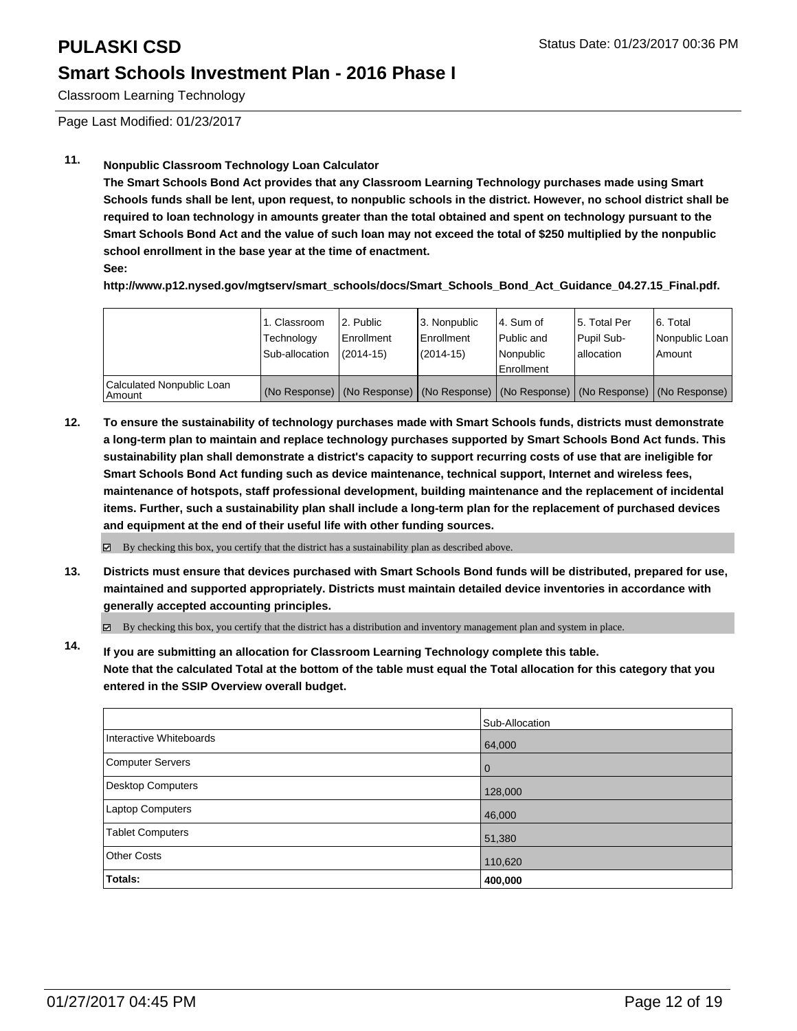Classroom Learning Technology

Page Last Modified: 01/23/2017

### **11. Nonpublic Classroom Technology Loan Calculator**

**The Smart Schools Bond Act provides that any Classroom Learning Technology purchases made using Smart Schools funds shall be lent, upon request, to nonpublic schools in the district. However, no school district shall be required to loan technology in amounts greater than the total obtained and spent on technology pursuant to the Smart Schools Bond Act and the value of such loan may not exceed the total of \$250 multiplied by the nonpublic school enrollment in the base year at the time of enactment.**

**See:**

**http://www.p12.nysed.gov/mgtserv/smart\_schools/docs/Smart\_Schools\_Bond\_Act\_Guidance\_04.27.15\_Final.pdf.**

|                                     | 1. Classroom<br>Technology<br>Sub-allocation | 2. Public<br>Enrollment<br>$(2014 - 15)$ | 3. Nonpublic<br>l Enrollment<br>$(2014 - 15)$ | l 4. Sum of<br>Public and<br>l Nonpublic<br><b>Enrollment</b>                                 | 15. Total Per<br><b>Pupil Sub-</b><br>lallocation | 6. Total<br>Nonpublic Loan<br>Amount |
|-------------------------------------|----------------------------------------------|------------------------------------------|-----------------------------------------------|-----------------------------------------------------------------------------------------------|---------------------------------------------------|--------------------------------------|
| Calculated Nonpublic Loan<br>Amount |                                              |                                          |                                               | (No Response)   (No Response)   (No Response)   (No Response)   (No Response)   (No Response) |                                                   |                                      |

**12. To ensure the sustainability of technology purchases made with Smart Schools funds, districts must demonstrate a long-term plan to maintain and replace technology purchases supported by Smart Schools Bond Act funds. This sustainability plan shall demonstrate a district's capacity to support recurring costs of use that are ineligible for Smart Schools Bond Act funding such as device maintenance, technical support, Internet and wireless fees, maintenance of hotspots, staff professional development, building maintenance and the replacement of incidental items. Further, such a sustainability plan shall include a long-term plan for the replacement of purchased devices and equipment at the end of their useful life with other funding sources.**

By checking this box, you certify that the district has a sustainability plan as described above. ☑

**13. Districts must ensure that devices purchased with Smart Schools Bond funds will be distributed, prepared for use, maintained and supported appropriately. Districts must maintain detailed device inventories in accordance with generally accepted accounting principles.**

By checking this box, you certify that the district has a distribution and inventory management plan and system in place.

**14. If you are submitting an allocation for Classroom Learning Technology complete this table. Note that the calculated Total at the bottom of the table must equal the Total allocation for this category that you entered in the SSIP Overview overall budget.**

|                         | Sub-Allocation |
|-------------------------|----------------|
| Interactive Whiteboards | 64,000         |
| <b>Computer Servers</b> | $\overline{0}$ |
| Desktop Computers       | 128,000        |
| Laptop Computers        | 46,000         |
| <b>Tablet Computers</b> | 51,380         |
| <b>Other Costs</b>      | 110,620        |
| Totals:                 | 400,000        |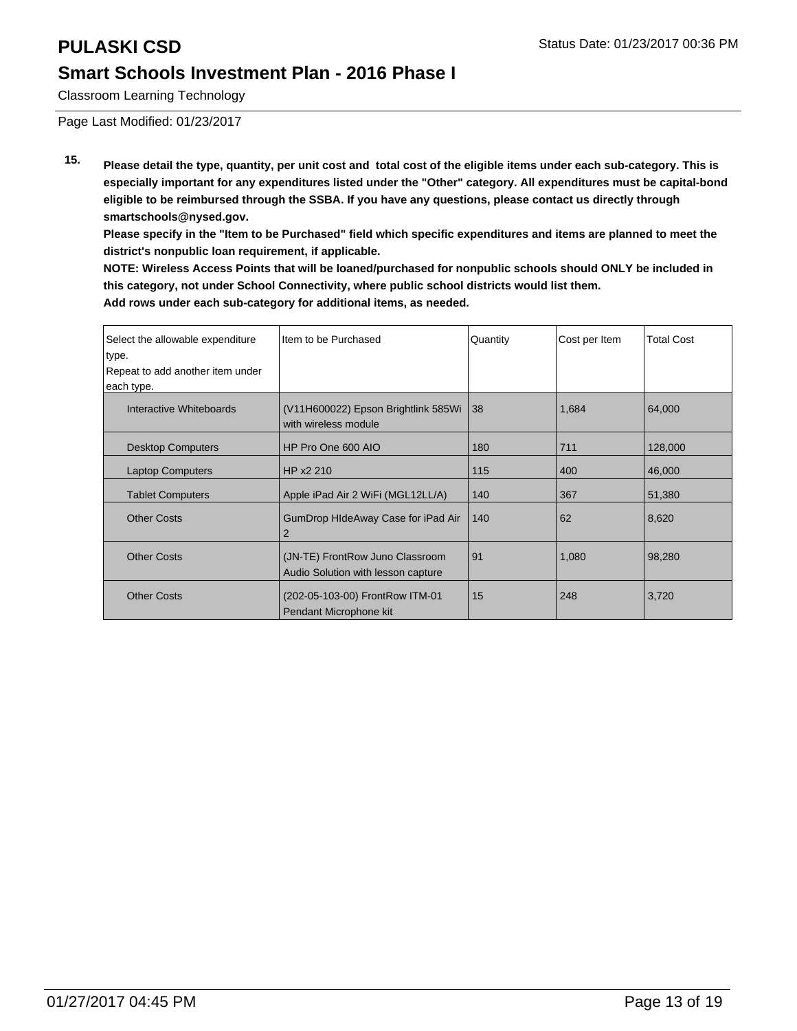Classroom Learning Technology

Page Last Modified: 01/23/2017

**15. Please detail the type, quantity, per unit cost and total cost of the eligible items under each sub-category. This is especially important for any expenditures listed under the "Other" category. All expenditures must be capital-bond eligible to be reimbursed through the SSBA. If you have any questions, please contact us directly through smartschools@nysed.gov.**

**Please specify in the "Item to be Purchased" field which specific expenditures and items are planned to meet the district's nonpublic loan requirement, if applicable.**

**NOTE: Wireless Access Points that will be loaned/purchased for nonpublic schools should ONLY be included in this category, not under School Connectivity, where public school districts would list them. Add rows under each sub-category for additional items, as needed.**

| Select the allowable expenditure | Iltem to be Purchased                                                 | Quantity | Cost per Item | <b>Total Cost</b> |
|----------------------------------|-----------------------------------------------------------------------|----------|---------------|-------------------|
| type.                            |                                                                       |          |               |                   |
| Repeat to add another item under |                                                                       |          |               |                   |
| each type.                       |                                                                       |          |               |                   |
| Interactive Whiteboards          | (V11H600022) Epson Brightlink 585Wi<br>with wireless module           | 38       | 1,684         | 64,000            |
| <b>Desktop Computers</b>         | HP Pro One 600 AIO                                                    | 180      | 711           | 128,000           |
| <b>Laptop Computers</b>          | HP x2 210                                                             | 115      | 400           | 46,000            |
| <b>Tablet Computers</b>          | Apple iPad Air 2 WiFi (MGL12LL/A)                                     | 140      | 367           | 51,380            |
| <b>Other Costs</b>               | GumDrop HIdeAway Case for iPad Air<br>2                               | 140      | 62            | 8,620             |
| <b>Other Costs</b>               | (JN-TE) FrontRow Juno Classroom<br>Audio Solution with lesson capture | 91       | 1,080         | 98,280            |
| <b>Other Costs</b>               | (202-05-103-00) FrontRow ITM-01<br>Pendant Microphone kit             | 15       | 248           | 3,720             |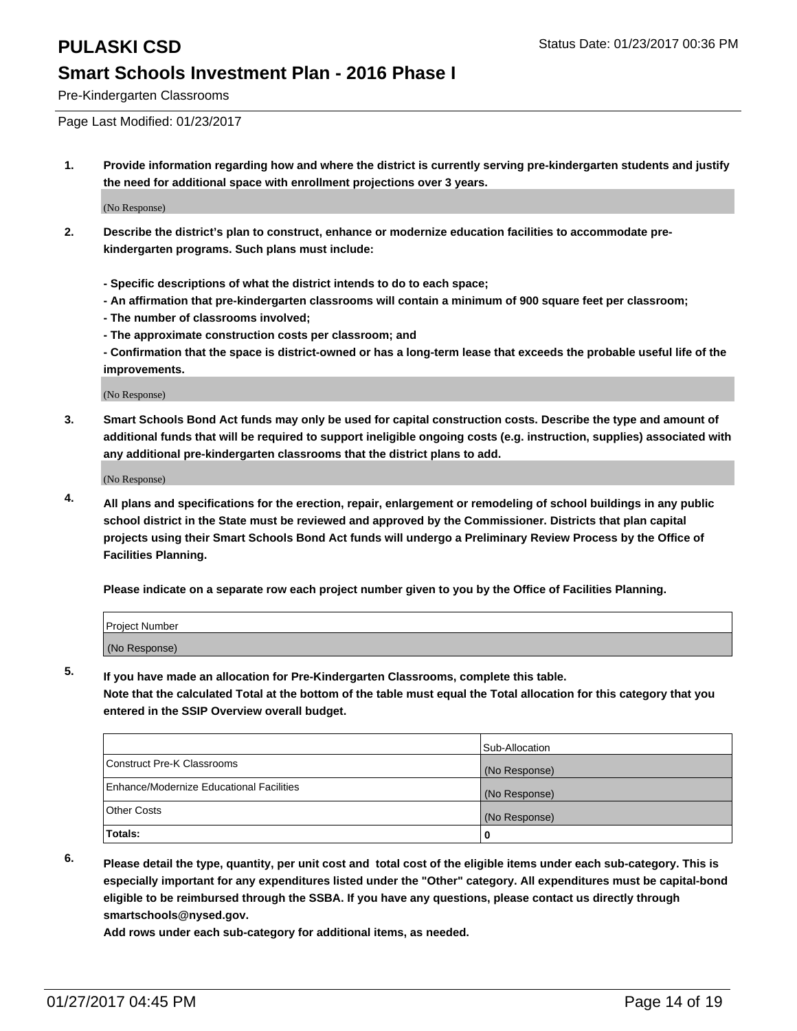Pre-Kindergarten Classrooms

Page Last Modified: 01/23/2017

**1. Provide information regarding how and where the district is currently serving pre-kindergarten students and justify the need for additional space with enrollment projections over 3 years.**

(No Response)

- **2. Describe the district's plan to construct, enhance or modernize education facilities to accommodate prekindergarten programs. Such plans must include:**
	- **Specific descriptions of what the district intends to do to each space;**
	- **An affirmation that pre-kindergarten classrooms will contain a minimum of 900 square feet per classroom;**
	- **The number of classrooms involved;**
	- **The approximate construction costs per classroom; and**
	- **Confirmation that the space is district-owned or has a long-term lease that exceeds the probable useful life of the improvements.**

(No Response)

**3. Smart Schools Bond Act funds may only be used for capital construction costs. Describe the type and amount of additional funds that will be required to support ineligible ongoing costs (e.g. instruction, supplies) associated with any additional pre-kindergarten classrooms that the district plans to add.**

(No Response)

**4. All plans and specifications for the erection, repair, enlargement or remodeling of school buildings in any public school district in the State must be reviewed and approved by the Commissioner. Districts that plan capital projects using their Smart Schools Bond Act funds will undergo a Preliminary Review Process by the Office of Facilities Planning.**

**Please indicate on a separate row each project number given to you by the Office of Facilities Planning.**

| Project Number |  |  |
|----------------|--|--|
| (No Response)  |  |  |

**5. If you have made an allocation for Pre-Kindergarten Classrooms, complete this table.**

**Note that the calculated Total at the bottom of the table must equal the Total allocation for this category that you entered in the SSIP Overview overall budget.**

|                                          | Sub-Allocation |
|------------------------------------------|----------------|
| Construct Pre-K Classrooms               | (No Response)  |
| Enhance/Modernize Educational Facilities | (No Response)  |
| Other Costs                              | (No Response)  |
| Totals:                                  | 0              |

**6. Please detail the type, quantity, per unit cost and total cost of the eligible items under each sub-category. This is especially important for any expenditures listed under the "Other" category. All expenditures must be capital-bond eligible to be reimbursed through the SSBA. If you have any questions, please contact us directly through smartschools@nysed.gov.**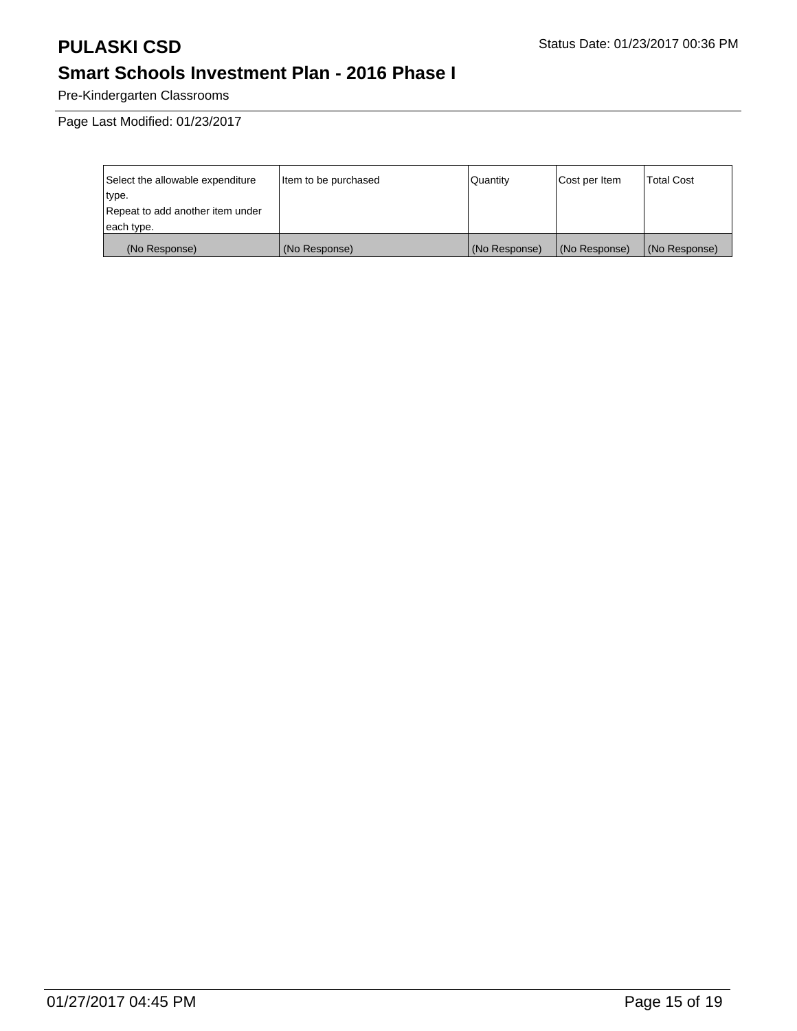Pre-Kindergarten Classrooms

| Select the allowable expenditure | litem to be purchased | Quantity      | Cost per Item | <b>Total Cost</b> |
|----------------------------------|-----------------------|---------------|---------------|-------------------|
| type.                            |                       |               |               |                   |
| Repeat to add another item under |                       |               |               |                   |
| each type.                       |                       |               |               |                   |
| (No Response)                    | (No Response)         | (No Response) | (No Response) | (No Response)     |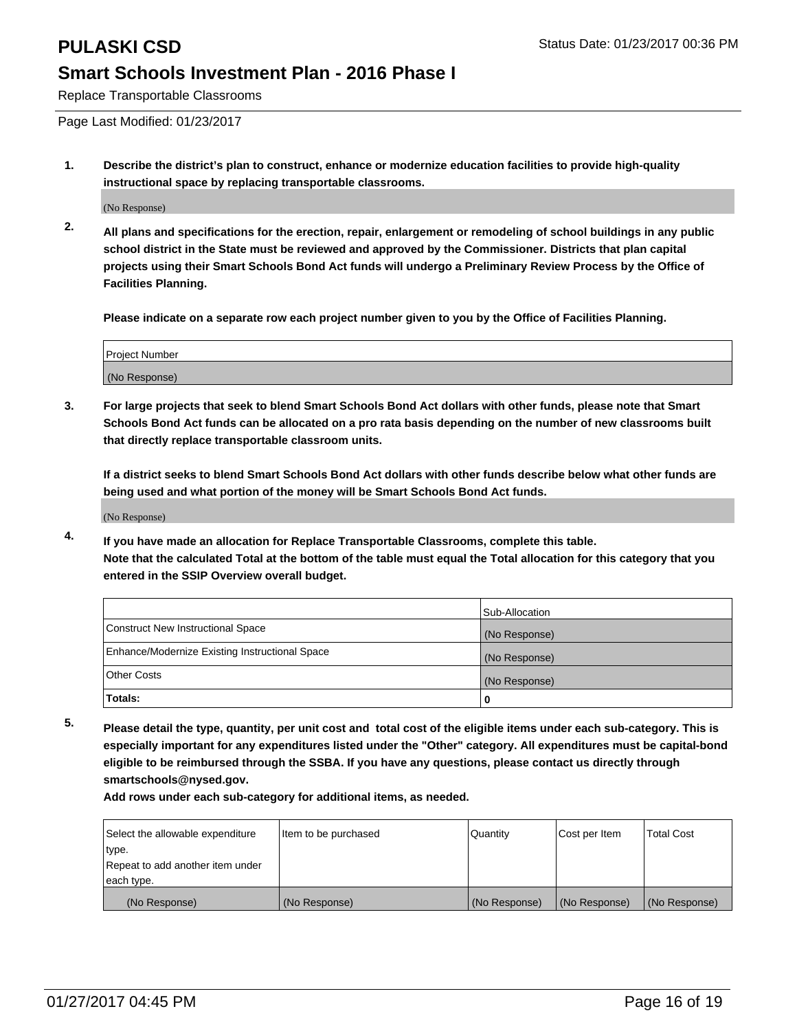Replace Transportable Classrooms

Page Last Modified: 01/23/2017

**1. Describe the district's plan to construct, enhance or modernize education facilities to provide high-quality instructional space by replacing transportable classrooms.**

(No Response)

**2. All plans and specifications for the erection, repair, enlargement or remodeling of school buildings in any public school district in the State must be reviewed and approved by the Commissioner. Districts that plan capital projects using their Smart Schools Bond Act funds will undergo a Preliminary Review Process by the Office of Facilities Planning.**

**Please indicate on a separate row each project number given to you by the Office of Facilities Planning.**

| <b>Project Number</b> |  |
|-----------------------|--|
| (No Response)         |  |

**3. For large projects that seek to blend Smart Schools Bond Act dollars with other funds, please note that Smart Schools Bond Act funds can be allocated on a pro rata basis depending on the number of new classrooms built that directly replace transportable classroom units.**

**If a district seeks to blend Smart Schools Bond Act dollars with other funds describe below what other funds are being used and what portion of the money will be Smart Schools Bond Act funds.**

(No Response)

**4. If you have made an allocation for Replace Transportable Classrooms, complete this table. Note that the calculated Total at the bottom of the table must equal the Total allocation for this category that you entered in the SSIP Overview overall budget.**

|                                                | Sub-Allocation |
|------------------------------------------------|----------------|
| Construct New Instructional Space              | (No Response)  |
| Enhance/Modernize Existing Instructional Space | (No Response)  |
| Other Costs                                    | (No Response)  |
| <b>Totals:</b>                                 |                |

**5. Please detail the type, quantity, per unit cost and total cost of the eligible items under each sub-category. This is especially important for any expenditures listed under the "Other" category. All expenditures must be capital-bond eligible to be reimbursed through the SSBA. If you have any questions, please contact us directly through smartschools@nysed.gov.**

| Select the allowable expenditure | Item to be purchased | Quantity      | Cost per Item | <b>Total Cost</b> |
|----------------------------------|----------------------|---------------|---------------|-------------------|
| type.                            |                      |               |               |                   |
| Repeat to add another item under |                      |               |               |                   |
| each type.                       |                      |               |               |                   |
| (No Response)                    | (No Response)        | (No Response) | (No Response) | (No Response)     |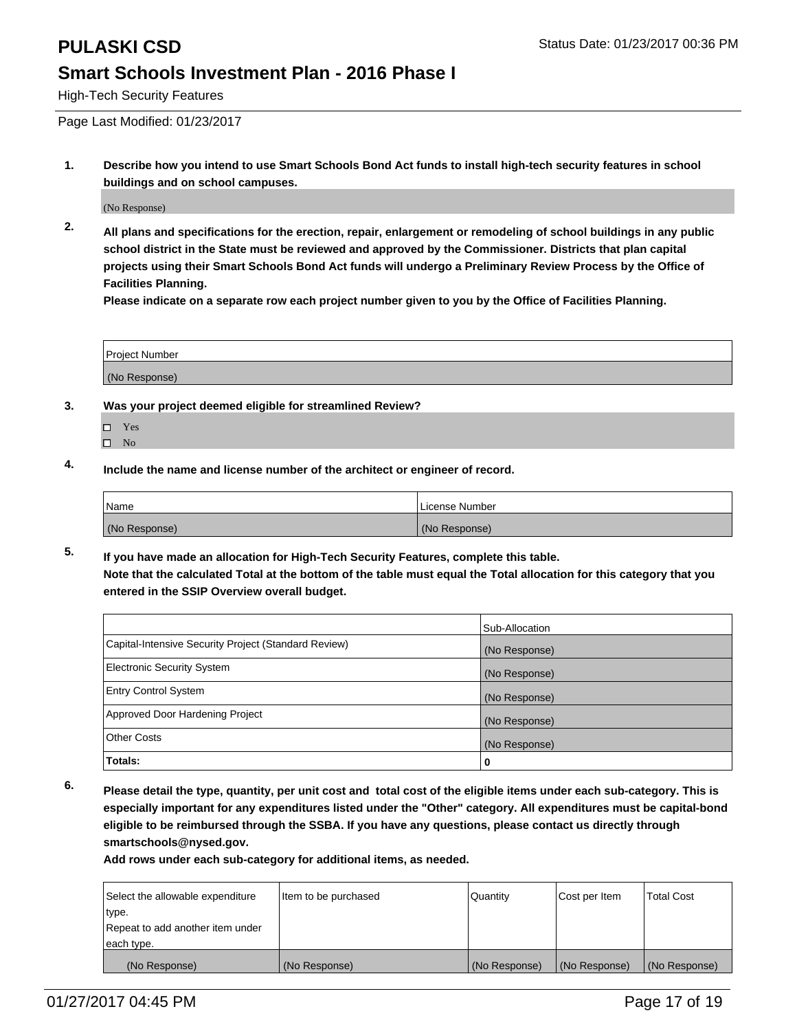High-Tech Security Features

Page Last Modified: 01/23/2017

**1. Describe how you intend to use Smart Schools Bond Act funds to install high-tech security features in school buildings and on school campuses.**

(No Response)

**2. All plans and specifications for the erection, repair, enlargement or remodeling of school buildings in any public school district in the State must be reviewed and approved by the Commissioner. Districts that plan capital projects using their Smart Schools Bond Act funds will undergo a Preliminary Review Process by the Office of Facilities Planning.** 

**Please indicate on a separate row each project number given to you by the Office of Facilities Planning.**

| <b>Project Number</b> |  |
|-----------------------|--|
| (No Response)         |  |

- **3. Was your project deemed eligible for streamlined Review?**
	- Yes
	- $\square$  No
- **4. Include the name and license number of the architect or engineer of record.**

| 'Name         | License Number |
|---------------|----------------|
| (No Response) | (No Response)  |

**5. If you have made an allocation for High-Tech Security Features, complete this table. Note that the calculated Total at the bottom of the table must equal the Total allocation for this category that you entered in the SSIP Overview overall budget.**

|                                                      | Sub-Allocation |
|------------------------------------------------------|----------------|
| Capital-Intensive Security Project (Standard Review) | (No Response)  |
| <b>Electronic Security System</b>                    | (No Response)  |
| <b>Entry Control System</b>                          | (No Response)  |
| Approved Door Hardening Project                      | (No Response)  |
| <b>Other Costs</b>                                   | (No Response)  |
| Totals:                                              | 0              |

**6. Please detail the type, quantity, per unit cost and total cost of the eligible items under each sub-category. This is especially important for any expenditures listed under the "Other" category. All expenditures must be capital-bond eligible to be reimbursed through the SSBA. If you have any questions, please contact us directly through smartschools@nysed.gov.**

| Select the allowable expenditure | litem to be purchased | Quantity      | Cost per Item | <b>Total Cost</b> |
|----------------------------------|-----------------------|---------------|---------------|-------------------|
| type.                            |                       |               |               |                   |
| Repeat to add another item under |                       |               |               |                   |
| each type.                       |                       |               |               |                   |
| (No Response)                    | (No Response)         | (No Response) | (No Response) | (No Response)     |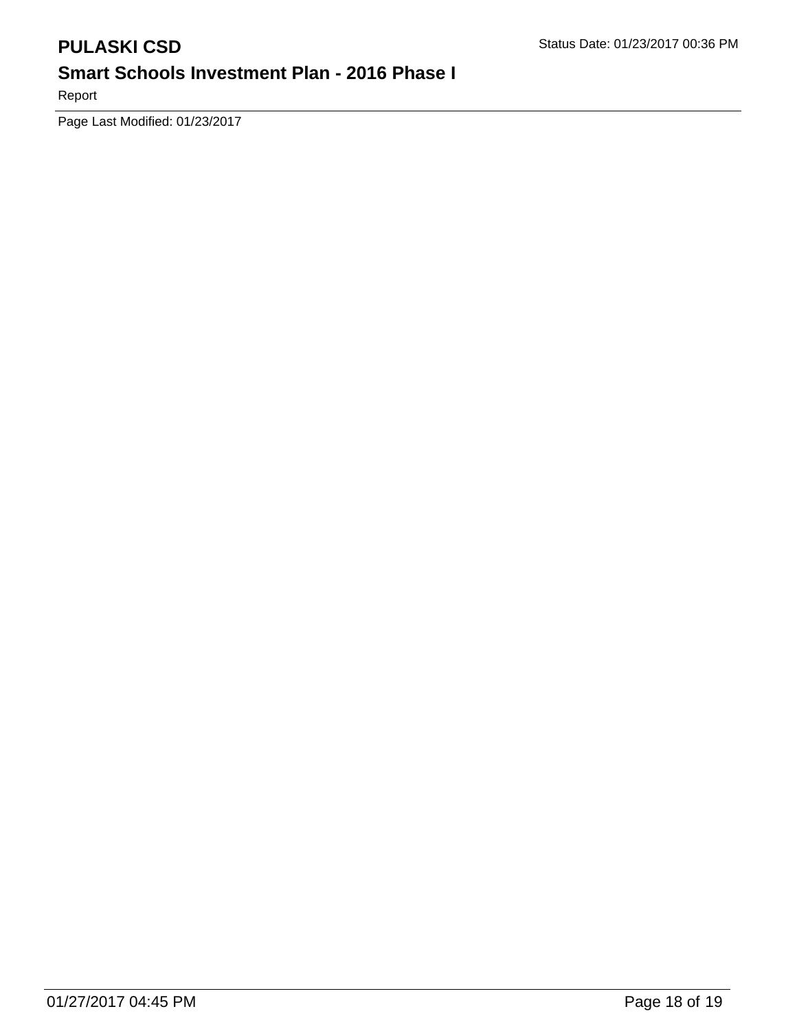Report